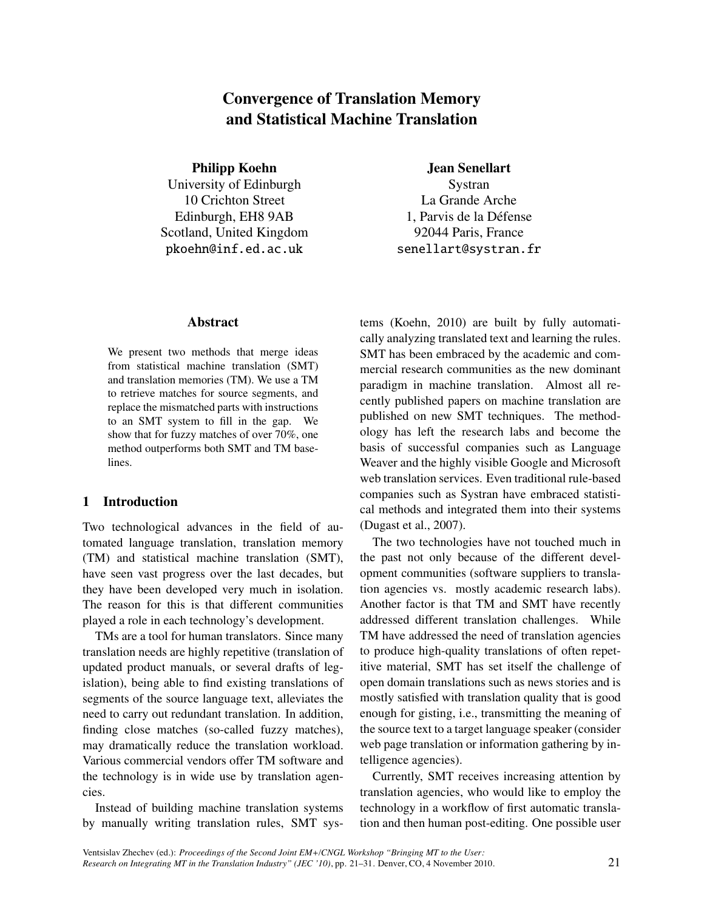# Convergence of Translation Memory and Statistical Machine Translation

Philipp Koehn University of Edinburgh 10 Crichton Street Edinburgh, EH8 9AB Scotland, United Kingdom pkoehn@inf.ed.ac.uk

Jean Senellart

Systran La Grande Arche 1. Parvis de la Défense 92044 Paris, France senellart@systran.fr

### Abstract

We present two methods that merge ideas from statistical machine translation (SMT) and translation memories (TM). We use a TM to retrieve matches for source segments, and replace the mismatched parts with instructions to an SMT system to fill in the gap. We show that for fuzzy matches of over 70%, one method outperforms both SMT and TM baselines.

# 1 Introduction

Two technological advances in the field of automated language translation, translation memory (TM) and statistical machine translation (SMT), have seen vast progress over the last decades, but they have been developed very much in isolation. The reason for this is that different communities played a role in each technology's development.

TMs are a tool for human translators. Since many translation needs are highly repetitive (translation of updated product manuals, or several drafts of legislation), being able to find existing translations of segments of the source language text, alleviates the need to carry out redundant translation. In addition, finding close matches (so-called fuzzy matches), may dramatically reduce the translation workload. Various commercial vendors offer TM software and the technology is in wide use by translation agencies.

Instead of building machine translation systems by manually writing translation rules, SMT systems (Koehn, 2010) are built by fully automatically analyzing translated text and learning the rules. SMT has been embraced by the academic and commercial research communities as the new dominant paradigm in machine translation. Almost all recently published papers on machine translation are published on new SMT techniques. The methodology has left the research labs and become the basis of successful companies such as Language Weaver and the highly visible Google and Microsoft web translation services. Even traditional rule-based companies such as Systran have embraced statistical methods and integrated them into their systems (Dugast et al., 2007).

The two technologies have not touched much in the past not only because of the different development communities (software suppliers to translation agencies vs. mostly academic research labs). Another factor is that TM and SMT have recently addressed different translation challenges. While TM have addressed the need of translation agencies to produce high-quality translations of often repetitive material, SMT has set itself the challenge of open domain translations such as news stories and is mostly satisfied with translation quality that is good enough for gisting, i.e., transmitting the meaning of the source text to a target language speaker (consider web page translation or information gathering by intelligence agencies).

Currently, SMT receives increasing attention by translation agencies, who would like to employ the technology in a workflow of first automatic translation and then human post-editing. One possible user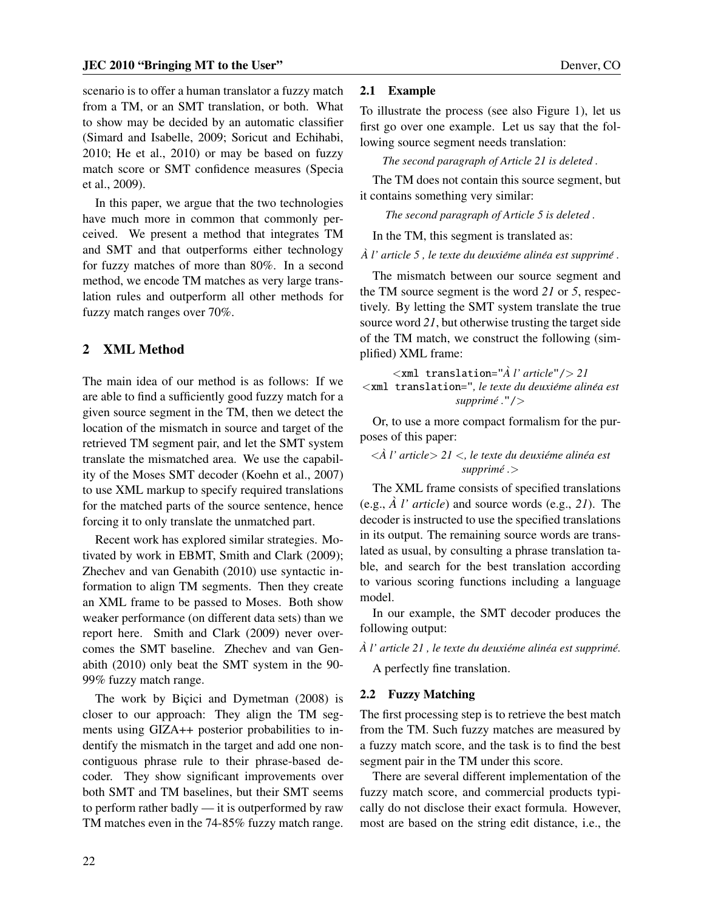scenario is to offer a human translator a fuzzy match from a TM, or an SMT translation, or both. What to show may be decided by an automatic classifier (Simard and Isabelle, 2009; Soricut and Echihabi, 2010; He et al., 2010) or may be based on fuzzy match score or SMT confidence measures (Specia et al., 2009).

In this paper, we argue that the two technologies have much more in common that commonly perceived. We present a method that integrates TM and SMT and that outperforms either technology for fuzzy matches of more than 80%. In a second method, we encode TM matches as very large translation rules and outperform all other methods for fuzzy match ranges over 70%.

# 2 XML Method

The main idea of our method is as follows: If we are able to find a sufficiently good fuzzy match for a given source segment in the TM, then we detect the location of the mismatch in source and target of the retrieved TM segment pair, and let the SMT system translate the mismatched area. We use the capability of the Moses SMT decoder (Koehn et al., 2007) to use XML markup to specify required translations for the matched parts of the source sentence, hence forcing it to only translate the unmatched part.

Recent work has explored similar strategies. Motivated by work in EBMT, Smith and Clark (2009); Zhechev and van Genabith (2010) use syntactic information to align TM segments. Then they create an XML frame to be passed to Moses. Both show weaker performance (on different data sets) than we report here. Smith and Clark (2009) never overcomes the SMT baseline. Zhechev and van Genabith (2010) only beat the SMT system in the 90- 99% fuzzy match range.

The work by Bicici and Dymetman (2008) is closer to our approach: They align the TM segments using GIZA++ posterior probabilities to indentify the mismatch in the target and add one noncontiguous phrase rule to their phrase-based decoder. They show significant improvements over both SMT and TM baselines, but their SMT seems to perform rather badly — it is outperformed by raw TM matches even in the 74-85% fuzzy match range.

### 2.1 Example

To illustrate the process (see also Figure 1), let us first go over one example. Let us say that the following source segment needs translation:

*The second paragraph of Article 21 is deleted .*

The TM does not contain this source segment, but it contains something very similar:

*The second paragraph of Article 5 is deleted .*

In the TM, this segment is translated as:

*A l'* article 5, le texte du deuxiéme alinéa est supprimé.

The mismatch between our source segment and the TM source segment is the word *21* or *5*, respectively. By letting the SMT system translate the true source word *21*, but otherwise trusting the target side of the TM match, we construct the following (simplified) XML frame:

 $\langle x$ ml translation=" $\hat{A}$  *l' article*"/> 21  $\le$   $x$ *ml* translation=", le texte du deuxiéme alinéa est *supprime . ´* "/*>*

Or, to use a more compact formalism for the purposes of this paper:

### $\langle \hat{A} \rangle$  *l'* article > 21  $\langle \rangle$ , le texte du deuxiéme alinéa est *supprime . ´ >*

The XML frame consists of specified translations (e.g.,  $\hat{A}$  *l' article*) and source words (e.g., 21). The decoder is instructed to use the specified translations in its output. The remaining source words are translated as usual, by consulting a phrase translation table, and search for the best translation according to various scoring functions including a language model.

In our example, the SMT decoder produces the following output:

 $\hat{A}$  *l'* article 21, le texte du deuxiéme alinéa est supprimé.

A perfectly fine translation.

#### 2.2 Fuzzy Matching

The first processing step is to retrieve the best match from the TM. Such fuzzy matches are measured by a fuzzy match score, and the task is to find the best segment pair in the TM under this score.

There are several different implementation of the fuzzy match score, and commercial products typically do not disclose their exact formula. However, most are based on the string edit distance, i.e., the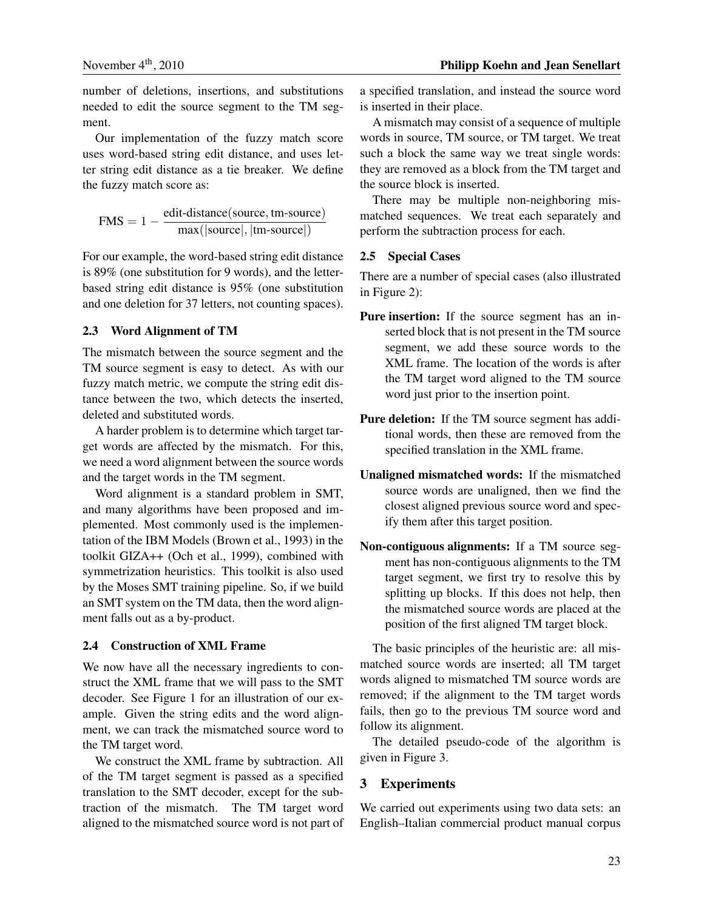number of deletions, insertions, and substitutions needed to edit the source segment to the TM segment.

Our implementation of the fuzzy match score uses word-based string edit distance, and uses letter string edit distance as a tie breaker. We define the fuzzy match score as:

$$
FMS = 1 - \frac{edit\text{-distance}(\text{source}, \text{tm-source})}{\text{max}(|\text{source}|, |\text{tm-source}|)}
$$

For our example, the word-based string edit distance is 89% (one substitution for 9 words), and the letterbased string edit distance is 95% (one substitution and one deletion for 37 letters, not counting spaces).

### 2.3 Word Alignment of TM

The mismatch between the source segment and the TM source segment is easy to detect. As with our fuzzy match metric, we compute the string edit distance between the two, which detects the inserted, deleted and substituted words.

A harder problem is to determine which target target words are affected by the mismatch. For this, we need a word alignment between the source words and the target words in the TM segment.

Word alignment is a standard problem in SMT, and many algorithms have been proposed and implemented. Most commonly used is the implementation of the IBM Models (Brown et al., 1993) in the toolkit GIZA++ (Och et al., 1999), combined with symmetrization heuristics. This toolkit is also used by the Moses SMT training pipeline. So, if we build an SMT system on the TM data, then the word alignment falls out as a by-product.

#### 2.4 Construction of XML Frame

We now have all the necessary ingredients to construct the XML frame that we will pass to the SMT decoder. See Figure 1 for an illustration of our example. Given the string edits and the word alignment, we can track the mismatched source word to the TM target word.

We construct the XML frame by subtraction. All of the TM target segment is passed as a specified translation to the SMT decoder, except for the subtraction of the mismatch. The TM target word aligned to the mismatched source word is not part of a specified translation, and instead the source word is inserted in their place.

A mismatch may consist of a sequence of multiple words in source, TM source, or TM target. We treat such a block the same way we treat single words: they are removed as a block from the TM target and the source block is inserted.

There may be multiple non-neighboring mismatched sequences. We treat each separately and perform the subtraction process for each.

#### 2.5 Special Cases

There are a number of special cases (also illustrated in Figure 2):

- Pure insertion: If the source segment has an inserted block that is not present in the TM source segment, we add these source words to the XML frame. The location of the words is after the TM target word aligned to the TM source word just prior to the insertion point.
- Pure deletion: If the TM source segment has additional words, then these are removed from the specified translation in the XML frame.
- Unaligned mismatched words: If the mismatched source words are unaligned, then we find the closest aligned previous source word and specify them after this target position.
- Non-contiguous alignments: If a TM source segment has non-contiguous alignments to the TM target segment, we first try to resolve this by splitting up blocks. If this does not help, then the mismatched source words are placed at the position of the first aligned TM target block.

The basic principles of the heuristic are: all mismatched source words are inserted; all TM target words aligned to mismatched TM source words are removed; if the alignment to the TM target words fails, then go to the previous TM source word and follow its alignment.

The detailed pseudo-code of the algorithm is given in Figure 3.

## 3 Experiments

We carried out experiments using two data sets: an English–Italian commercial product manual corpus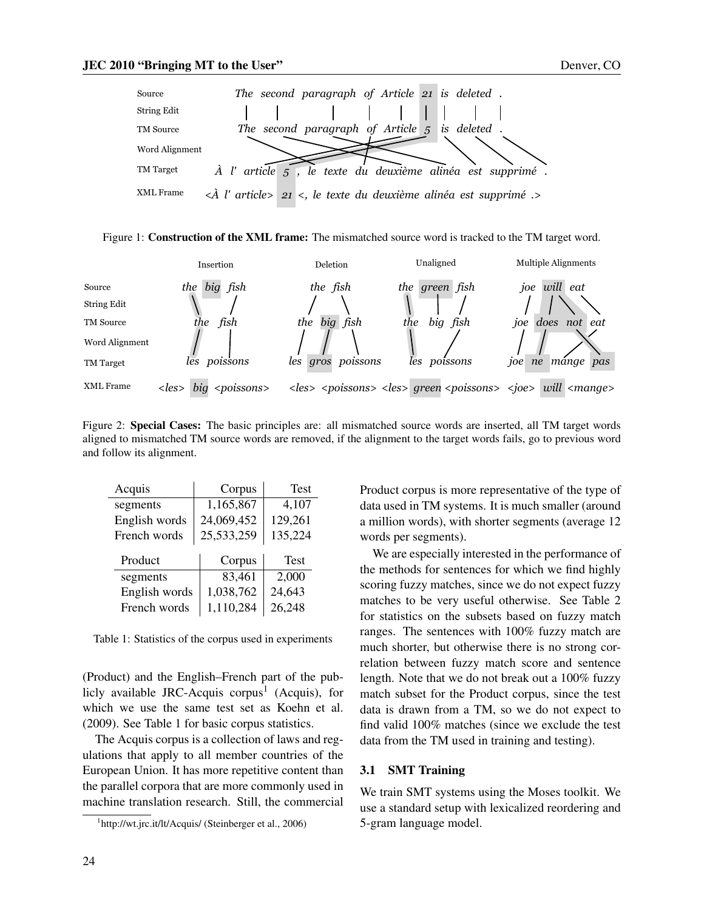





Figure 2: Special Cases: The basic principles are: all mismatched source words are inserted, all TM target words aligned to mismatched TM source words are removed, if the alignment to the target words fails, go to previous word and follow its alignment.

| Acquis        | Corpus     | <b>Test</b> |  |
|---------------|------------|-------------|--|
| segments      | 1,165,867  | 4,107       |  |
| English words | 24,069,452 | 129,261     |  |
| French words  | 25,533,259 | 135,224     |  |
|               |            |             |  |
|               |            |             |  |
| Product       | Corpus     | <b>Test</b> |  |
| segments      | 83,461     | 2,000       |  |
| English words | 1,038,762  | 24,643      |  |

Table 1: Statistics of the corpus used in experiments

(Product) and the English–French part of the publicly available JRC-Acquis corpus<sup>1</sup> (Acquis), for which we use the same test set as Koehn et al. (2009). See Table 1 for basic corpus statistics.

The Acquis corpus is a collection of laws and regulations that apply to all member countries of the European Union. It has more repetitive content than the parallel corpora that are more commonly used in machine translation research. Still, the commercial Product corpus is more representative of the type of data used in TM systems. It is much smaller (around a million words), with shorter segments (average 12 words per segments).

We are especially interested in the performance of the methods for sentences for which we find highly scoring fuzzy matches, since we do not expect fuzzy matches to be very useful otherwise. See Table 2 for statistics on the subsets based on fuzzy match ranges. The sentences with 100% fuzzy match are much shorter, but otherwise there is no strong correlation between fuzzy match score and sentence length. Note that we do not break out a 100% fuzzy match subset for the Product corpus, since the test data is drawn from a TM, so we do not expect to find valid 100% matches (since we exclude the test data from the TM used in training and testing).

#### 3.1 SMT Training

We train SMT systems using the Moses toolkit. We use a standard setup with lexicalized reordering and 5-gram language model.

<sup>&</sup>lt;sup>1</sup>http://wt.jrc.it/lt/Acquis/ (Steinberger et al., 2006)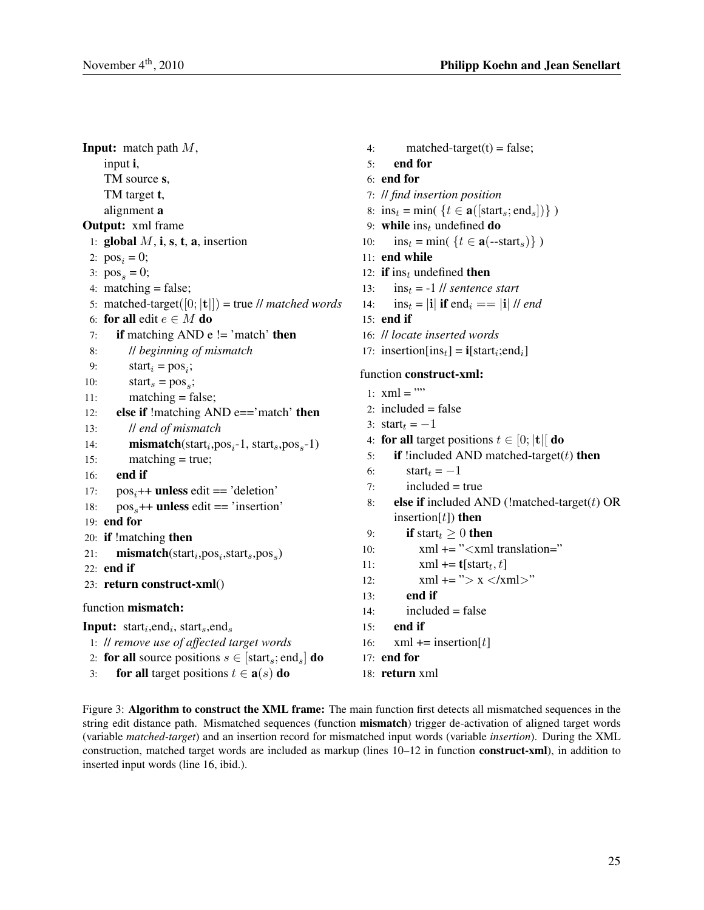Input: match path *M*, input i, TM source s, TM target t, alignment a Output: xml frame 1: global  $M$ , i, s, t, a, insertion 2:  $pos_i = 0;$ 3:  $pos<sub>s</sub> = 0;$ 4: matching  $=$  false; 5: matched-target([0; *|***t***|*]) = true // *matched words* 6: for all edit  $e \in M$  do 7: if matching AND  $e$  != 'match' then 8: // *beginning of mismatch* 9:  $\text{start}_i = \text{pos}_i;$ 10:  $\text{start}_s = \text{pos}_s;$ 11: matching = false; 12: **else if** !matching AND e=='match' **then** 13: // *end of mismatch* 14: **mismatch**(start<sub>i</sub>,pos<sub>i</sub>-1, start<sub>s</sub>,pos<sub>s</sub>-1) 15: matching = true; 16: end if 17:  $pos_i + \text{unless edit} == 'deletion'$ 18: pos<sub>s</sub>++ unless edit == 'insertion' 19: end for 20: if !matching then 21: **mismatch**(start<sub>i</sub>,pos<sub>i</sub>,start<sub>s</sub>,pos<sub>s</sub>) 22: end if 23: return construct-xml() function mismatch: Input: start*<sup>i</sup>* ,end*<sup>i</sup>* , start*s*,end*<sup>s</sup>* 1: // *remove use of affected target words* 2: for all source positions  $s \in [\text{start}_s; \text{end}_s]$  do

- 
- 3: **for all** target positions  $t \in \mathbf{a}(s)$  do

4: matched-target $(t)$  = false; 5: end for 6: end for 7: // *find insertion position* 8:  $ins_t = min({\{t \in \mathbf{a}([start_s; end_s])\})$ 9: while ins*<sup>t</sup>* undefined do 10:  $\text{ins}_t = \min(\{t \in \mathbf{a}(-\text{start}_s)\})$ 11: end while 12: if ins*<sup>t</sup>* undefined then 13: ins*<sup>t</sup>* = -1 // *sentence start* 14:  $\text{ins}_t = |\mathbf{i}| \text{ if } \text{end}_i = |\mathbf{i}| \text{ // } end$  $15:$  end if 16: // *locate inserted words* 17: insertion $[\text{ins}_t] = \mathbf{i}[\text{start}_i; \text{end}_i]$ function construct-xml: 1:  $xml = ""$ 2: included  $=$  false 3:  $\text{start}_t = -1$ 4: for all target positions  $t \in [0; |t|]$  do 5: if !included AND matched-target(*t*) then 6:  $\text{start}_t = -1$  $7:$  included = true 8: else if included AND (!matched-target(*t*) OR insertion[*t*]) then 9: **if** start $t_t \geq 0$  then 10: xml += "*<*xml translation=" 11:  $xml \leftarrow t[start_t, t]$ 12: xml += "*>* x *<*/xml*>*" 13: end if  $14:$  included = false 15: end if 16:  $xml += insertion[t]$ 17: end for

18: return xml

Figure 3: Algorithm to construct the XML frame: The main function first detects all mismatched sequences in the string edit distance path. Mismatched sequences (function **mismatch**) trigger de-activation of aligned target words (variable *matched-target*) and an insertion record for mismatched input words (variable *insertion*). During the XML construction, matched target words are included as markup (lines 10–12 in function construct-xml), in addition to inserted input words (line 16, ibid.).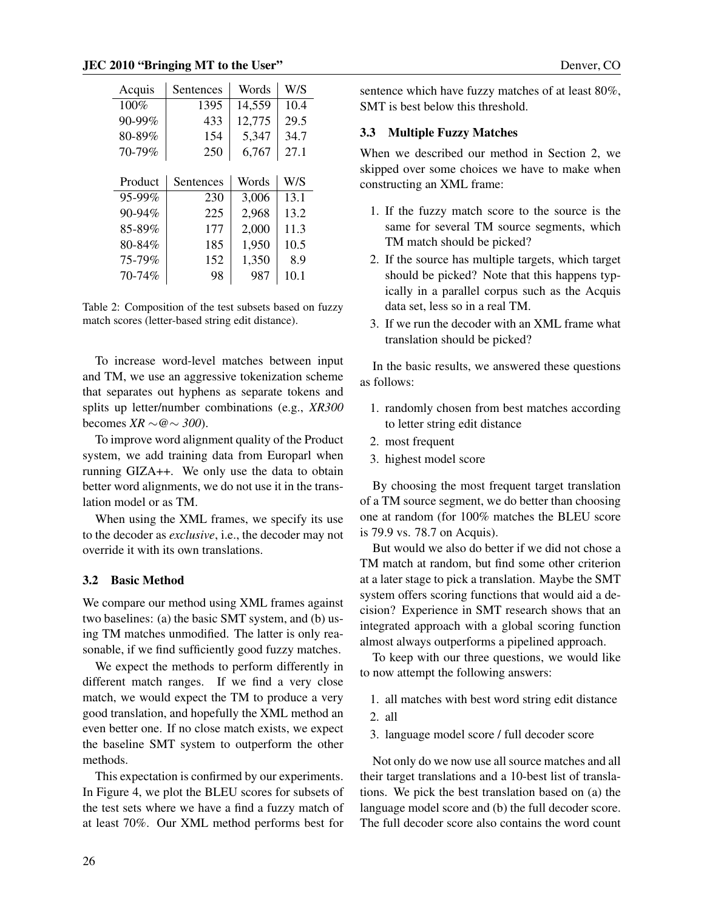| Acquis      | Sentences | Words  |      |
|-------------|-----------|--------|------|
| 100%        | 1395      | 14,559 | 10.4 |
| 90-99%      | 433       | 12,775 | 29.5 |
| 80-89%      | 154       | 5,347  | 34.7 |
| 70-79%      | 250       | 6,767  | 27.1 |
|             |           |        |      |
| Product     | Sentences | Words  | W/S  |
| 95-99%      | 230       | 3,006  | 13.1 |
| $90 - 94\%$ | 225       | 2,968  | 13.2 |
| 85-89%      | 177       | 2,000  | 11.3 |
| 80-84%      | 185       | 1,950  | 10.5 |
| 75-79%      | 152       | 1,350  | 8.9  |
| 70-74%      | 98        | 987    | 10.1 |

Table 2: Composition of the test subsets based on fuzzy match scores (letter-based string edit distance).

To increase word-level matches between input and TM, we use an aggressive tokenization scheme that separates out hyphens as separate tokens and splits up letter/number combinations (e.g., *XR300* becomes *XR ∼@∼ 300*).

To improve word alignment quality of the Product system, we add training data from Europarl when running GIZA++. We only use the data to obtain better word alignments, we do not use it in the translation model or as TM.

When using the XML frames, we specify its use to the decoder as *exclusive*, i.e., the decoder may not override it with its own translations.

#### 3.2 Basic Method

We compare our method using XML frames against two baselines: (a) the basic SMT system, and (b) using TM matches unmodified. The latter is only reasonable, if we find sufficiently good fuzzy matches.

We expect the methods to perform differently in different match ranges. If we find a very close match, we would expect the TM to produce a very good translation, and hopefully the XML method an even better one. If no close match exists, we expect the baseline SMT system to outperform the other methods.

This expectation is confirmed by our experiments. In Figure 4, we plot the BLEU scores for subsets of the test sets where we have a find a fuzzy match of at least 70%. Our XML method performs best for

sentence which have fuzzy matches of at least 80%, SMT is best below this threshold.

#### 3.3 Multiple Fuzzy Matches

When we described our method in Section 2, we skipped over some choices we have to make when constructing an XML frame:

- 1. If the fuzzy match score to the source is the same for several TM source segments, which TM match should be picked?
- 2. If the source has multiple targets, which target should be picked? Note that this happens typically in a parallel corpus such as the Acquis data set, less so in a real TM.
- 3. If we run the decoder with an XML frame what translation should be picked?

In the basic results, we answered these questions as follows:

- 1. randomly chosen from best matches according to letter string edit distance
- 2. most frequent
- 3. highest model score

By choosing the most frequent target translation of a TM source segment, we do better than choosing one at random (for 100% matches the BLEU score is 79.9 vs. 78.7 on Acquis).

But would we also do better if we did not chose a TM match at random, but find some other criterion at a later stage to pick a translation. Maybe the SMT system offers scoring functions that would aid a decision? Experience in SMT research shows that an integrated approach with a global scoring function almost always outperforms a pipelined approach.

To keep with our three questions, we would like to now attempt the following answers:

- 1. all matches with best word string edit distance
- 2. all
- 3. language model score / full decoder score

Not only do we now use all source matches and all their target translations and a 10-best list of translations. We pick the best translation based on (a) the language model score and (b) the full decoder score. The full decoder score also contains the word count

26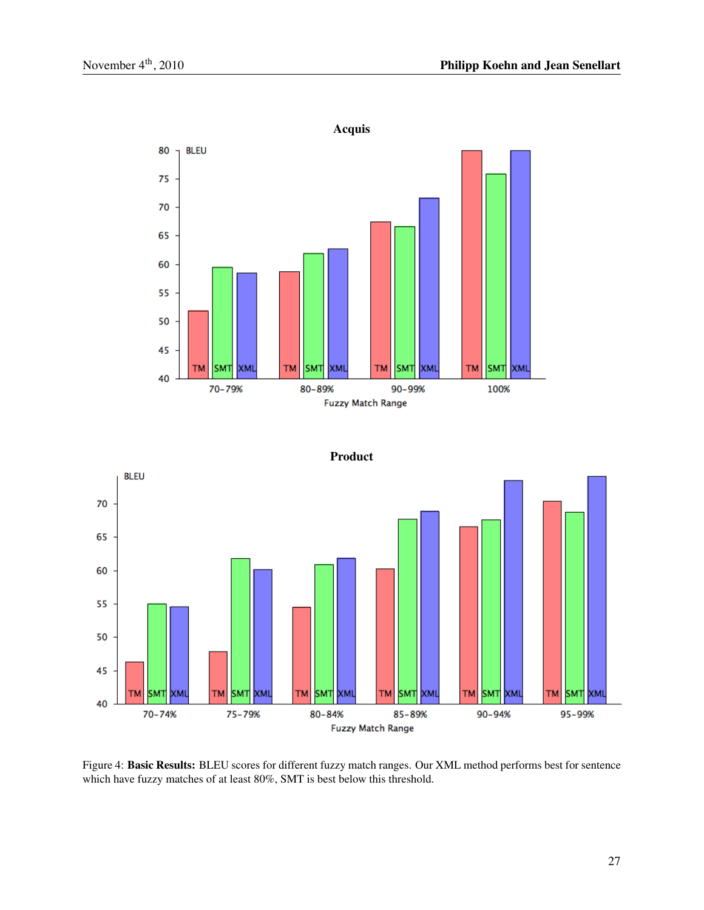



Figure 4: Basic Results: BLEU scores for different fuzzy match ranges. Our XML method performs best for sentence which have fuzzy matches of at least 80%, SMT is best below this threshold.

### 27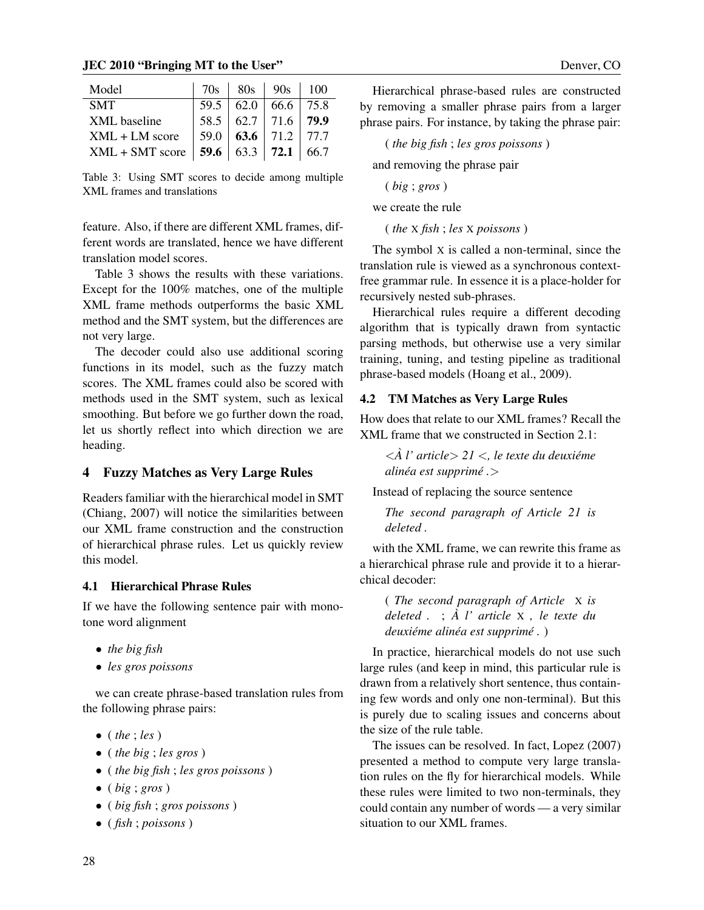#### **JEC 2010 "Bringing MT to the User"**  $\blacksquare$

| Model             | 70s  | 80s                           | $\vert$ 90s               | 100  |
|-------------------|------|-------------------------------|---------------------------|------|
| <b>SMT</b>        |      | $59.5$   62.0   66.6   75.8   |                           |      |
| XML baseline      | 58.5 | $\vert 62.7 \vert 71.6 \vert$ |                           | 79.9 |
| $XML + LM score$  | 59.0 |                               | 63.6 71.2 77.7            |      |
| $XML + SMT score$ | 59.6 |                               | 63.3   <b>72.1</b>   66.7 |      |

Table 3: Using SMT scores to decide among multiple XML frames and translations

feature. Also, if there are different XML frames, different words are translated, hence we have different translation model scores.

Table 3 shows the results with these variations. Except for the 100% matches, one of the multiple XML frame methods outperforms the basic XML method and the SMT system, but the differences are not very large.

The decoder could also use additional scoring functions in its model, such as the fuzzy match scores. The XML frames could also be scored with methods used in the SMT system, such as lexical smoothing. But before we go further down the road, let us shortly reflect into which direction we are heading.

# 4 Fuzzy Matches as Very Large Rules

Readers familiar with the hierarchical model in SMT (Chiang, 2007) will notice the similarities between our XML frame construction and the construction of hierarchical phrase rules. Let us quickly review this model.

# 4.1 Hierarchical Phrase Rules

If we have the following sentence pair with monotone word alignment

- *• the big fish*
- *• les gros poissons*

we can create phrase-based translation rules from the following phrase pairs:

- *•* ( *the* ; *les* )
- *•* ( *the big* ; *les gros* )
- *•* ( *the big fish* ; *les gros poissons* )
- *•* ( *big* ; *gros* )
- *•* ( *big fish* ; *gros poissons* )
- *•* ( *fish* ; *poissons* )

Hierarchical phrase-based rules are constructed by removing a smaller phrase pairs from a larger phrase pairs. For instance, by taking the phrase pair:

( *the big fish* ; *les gros poissons* )

and removing the phrase pair

$$
(\textit{big};\textit{gross})
$$

we create the rule

( *the* X *fish* ; *les* X *poissons* )

The symbol X is called a non-terminal, since the translation rule is viewed as a synchronous contextfree grammar rule. In essence it is a place-holder for recursively nested sub-phrases.

Hierarchical rules require a different decoding algorithm that is typically drawn from syntactic parsing methods, but otherwise use a very similar training, tuning, and testing pipeline as traditional phrase-based models (Hoang et al., 2009).

# 4.2 TM Matches as Very Large Rules

How does that relate to our XML frames? Recall the XML frame that we constructed in Section 2.1:

*<A l' article ` > 21 <, le texte du deuxieme ´ alinea est supprim ´ e . ´ >*

Instead of replacing the source sentence

*The second paragraph of Article 21 is deleted .*

with the XML frame, we can rewrite this frame as a hierarchical phrase rule and provide it to a hierarchical decoder:

( *The second paragraph of Article* X *is deleted .* ; *A l' article `* <sup>X</sup> *, le texte du deuxiéme alinéa est supprimé.*)

In practice, hierarchical models do not use such large rules (and keep in mind, this particular rule is drawn from a relatively short sentence, thus containing few words and only one non-terminal). But this is purely due to scaling issues and concerns about the size of the rule table.

The issues can be resolved. In fact, Lopez (2007) presented a method to compute very large translation rules on the fly for hierarchical models. While these rules were limited to two non-terminals, they could contain any number of words — a very similar situation to our XML frames.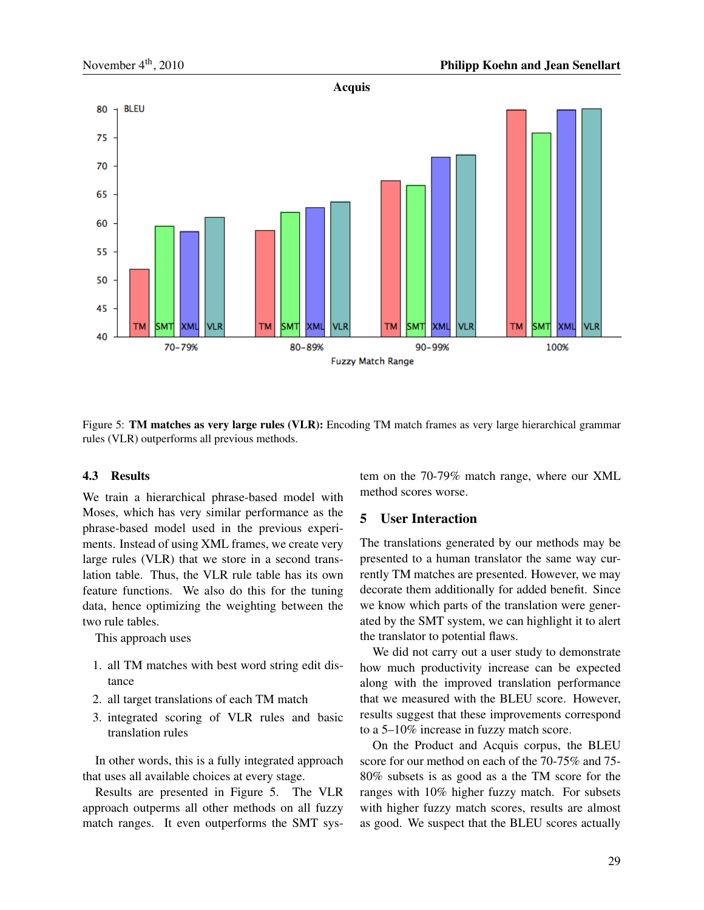

Figure 5: TM matches as very large rules (VLR): Encoding TM match frames as very large hierarchical grammar rules (VLR) outperforms all previous methods.

#### 4.3 Results

We train a hierarchical phrase-based model with Moses, which has very similar performance as the phrase-based model used in the previous experiments. Instead of using XML frames, we create very large rules (VLR) that we store in a second translation table. Thus, the VLR rule table has its own feature functions. We also do this for the tuning data, hence optimizing the weighting between the two rule tables.

This approach uses

- 1. all TM matches with best word string edit distance
- 2. all target translations of each TM match
- 3. integrated scoring of VLR rules and basic translation rules

In other words, this is a fully integrated approach that uses all available choices at every stage.

Results are presented in Figure 5. The VLR approach outperms all other methods on all fuzzy match ranges. It even outperforms the SMT system on the 70-79% match range, where our XML method scores worse.

# 5 User Interaction

The translations generated by our methods may be presented to a human translator the same way currently TM matches are presented. However, we may decorate them additionally for added benefit. Since we know which parts of the translation were generated by the SMT system, we can highlight it to alert the translator to potential flaws.

We did not carry out a user study to demonstrate how much productivity increase can be expected along with the improved translation performance that we measured with the BLEU score. However, results suggest that these improvements correspond to a 5–10% increase in fuzzy match score.

On the Product and Acquis corpus, the BLEU score for our method on each of the 70-75% and 75- 80% subsets is as good as a the TM score for the ranges with 10% higher fuzzy match. For subsets with higher fuzzy match scores, results are almost as good. We suspect that the BLEU scores actually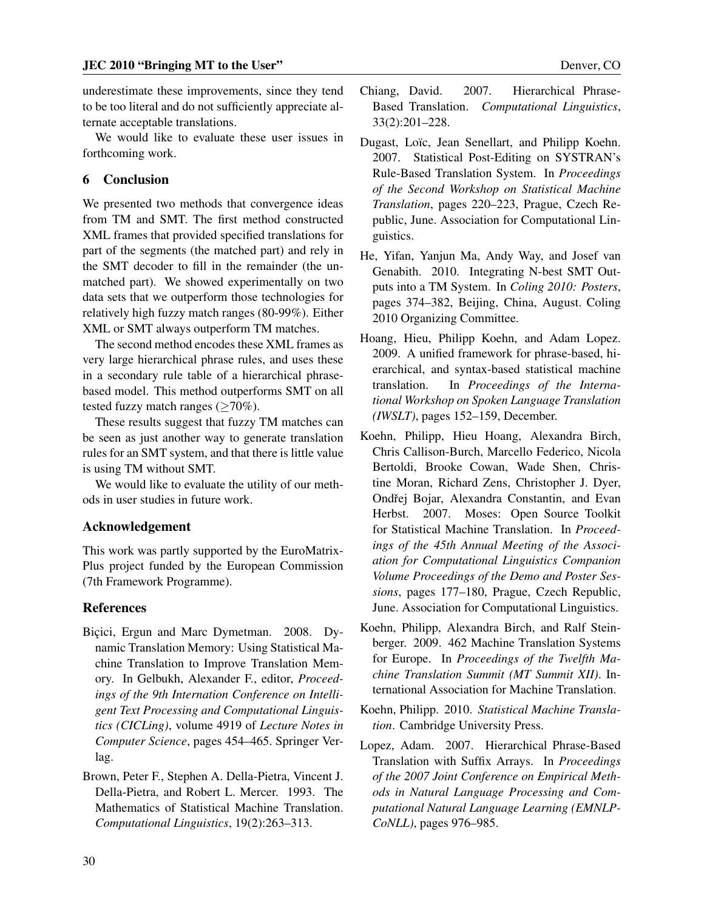underestimate these improvements, since they tend to be too literal and do not sufficiently appreciate alternate acceptable translations.

We would like to evaluate these user issues in forthcoming work.

### 6 Conclusion

We presented two methods that convergence ideas from TM and SMT. The first method constructed XML frames that provided specified translations for part of the segments (the matched part) and rely in the SMT decoder to fill in the remainder (the unmatched part). We showed experimentally on two data sets that we outperform those technologies for relatively high fuzzy match ranges (80-99%). Either XML or SMT always outperform TM matches.

The second method encodes these XML frames as very large hierarchical phrase rules, and uses these in a secondary rule table of a hierarchical phrasebased model. This method outperforms SMT on all tested fuzzy match ranges (*≥*70%).

These results suggest that fuzzy TM matches can be seen as just another way to generate translation rules for an SMT system, and that there is little value is using TM without SMT.

We would like to evaluate the utility of our methods in user studies in future work.

#### Acknowledgement

This work was partly supported by the EuroMatrix-Plus project funded by the European Commission (7th Framework Programme).

#### References

- Bicici, Ergun and Marc Dymetman. 2008. Dynamic Translation Memory: Using Statistical Machine Translation to Improve Translation Memory. In Gelbukh, Alexander F., editor, *Proceedings of the 9th Internation Conference on Intelligent Text Processing and Computational Linguistics (CICLing)*, volume 4919 of *Lecture Notes in Computer Science*, pages 454–465. Springer Verlag.
- Brown, Peter F., Stephen A. Della-Pietra, Vincent J. Della-Pietra, and Robert L. Mercer. 1993. The Mathematics of Statistical Machine Translation. *Computational Linguistics*, 19(2):263–313.
- Chiang, David. 2007. Hierarchical Phrase-Based Translation. *Computational Linguistics*, 33(2):201–228.
- Dugast, Loïc, Jean Senellart, and Philipp Koehn. 2007. Statistical Post-Editing on SYSTRAN's Rule-Based Translation System. In *Proceedings of the Second Workshop on Statistical Machine Translation*, pages 220–223, Prague, Czech Republic, June. Association for Computational Linguistics.
- He, Yifan, Yanjun Ma, Andy Way, and Josef van Genabith. 2010. Integrating N-best SMT Outputs into a TM System. In *Coling 2010: Posters*, pages 374–382, Beijing, China, August. Coling 2010 Organizing Committee.
- Hoang, Hieu, Philipp Koehn, and Adam Lopez. 2009. A unified framework for phrase-based, hierarchical, and syntax-based statistical machine translation. In *Proceedings of the International Workshop on Spoken Language Translation (IWSLT)*, pages 152–159, December.
- Koehn, Philipp, Hieu Hoang, Alexandra Birch, Chris Callison-Burch, Marcello Federico, Nicola Bertoldi, Brooke Cowan, Wade Shen, Christine Moran, Richard Zens, Christopher J. Dyer, Ondřej Bojar, Alexandra Constantin, and Evan Herbst. 2007. Moses: Open Source Toolkit for Statistical Machine Translation. In *Proceedings of the 45th Annual Meeting of the Association for Computational Linguistics Companion Volume Proceedings of the Demo and Poster Sessions*, pages 177–180, Prague, Czech Republic, June. Association for Computational Linguistics.
- Koehn, Philipp, Alexandra Birch, and Ralf Steinberger. 2009. 462 Machine Translation Systems for Europe. In *Proceedings of the Twelfth Machine Translation Summit (MT Summit XII)*. International Association for Machine Translation.
- Koehn, Philipp. 2010. *Statistical Machine Translation*. Cambridge University Press.
- Lopez, Adam. 2007. Hierarchical Phrase-Based Translation with Suffix Arrays. In *Proceedings of the 2007 Joint Conference on Empirical Methods in Natural Language Processing and Computational Natural Language Learning (EMNLP-CoNLL)*, pages 976–985.